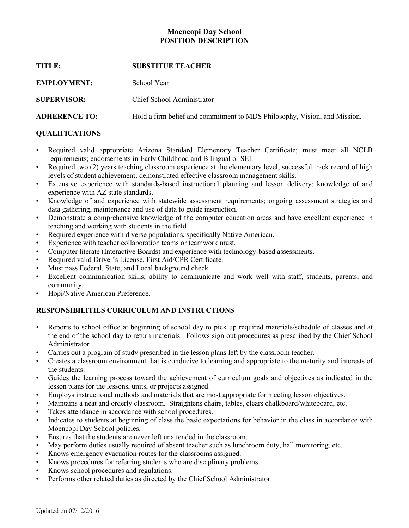### **Moencopi Day School POSITION DESCRIPTION**

| <b>SUBSTITUE TEACHER</b>                                                  |
|---------------------------------------------------------------------------|
| School Year                                                               |
| Chief School Administrator                                                |
| Hold a firm belief and commitment to MDS Philosophy, Vision, and Mission. |
|                                                                           |

# **QUALIFICATIONS**

- Required valid appropriate Arizona Standard Elementary Teacher Certificate; must meet all NCLB requirements; endorsements in Early Childhood and Bilingual or SEI.
- Required two (2) years teaching classroom experience at the elementary level; successful track record of high levels of student achievement; demonstrated effective classroom management skills.
- Extensive experience with standards-based instructional planning and lesson delivery; knowledge of and experience with AZ state standards.
- Knowledge of and experience with statewide assessment requirements; ongoing assessment strategies and data gathering, maintenance and use of data to guide instruction.
- Demonstrate a comprehensive knowledge of the computer education areas and have excellent experience in teaching and working with students in the field.
- Required experience with diverse populations, specifically Native American.
- Experience with teacher collaboration teams or teamwork must.
- Computer literate (Interactive Boards) and experience with technology-based assessments.
- Required valid Driver's License, First Aid/CPR Certificate.
- Must pass Federal, State, and Local background check.
- Excellent communication skills; ability to communicate and work well with staff, students, parents, and community.
- Hopi/Native American Preference.

## **RESPONSIBILITIES CURRICULUM AND INSTRUCTIONS**

- Reports to school office at beginning of school day to pick up required materials/schedule of classes and at the end of the school day to return materials. Follows sign out procedures as prescribed by the Chief School Administrator.
- Carries out a program of study prescribed in the lesson plans left by the classroom teacher.
- Creates a classroom environment that is conducive to learning and appropriate to the maturity and interests of the students.
- Guides the learning process toward the achievement of curriculum goals and objectives as indicated in the lesson plans for the lessons, units, or projects assigned.
- Employs instructional methods and materials that are most appropriate for meeting lesson objectives.
- Maintains a neat and orderly classroom. Straightens chairs, tables, clears chalkboard/whiteboard, etc.
- Takes attendance in accordance with school procedures.
- Indicates to students at beginning of class the basic expectations for behavior in the class in accordance with Moencopi Day School policies.
- Ensures that the students are never left unattended in the classroom.
- May perform duties usually required of absent teacher such as lunchroom duty, hall monitoring, etc.
- Knows emergency evacuation routes for the classrooms assigned.
- Knows procedures for referring students who are disciplinary problems.
- Knows school procedures and regulations.
- Performs other related duties as directed by the Chief School Administrator.